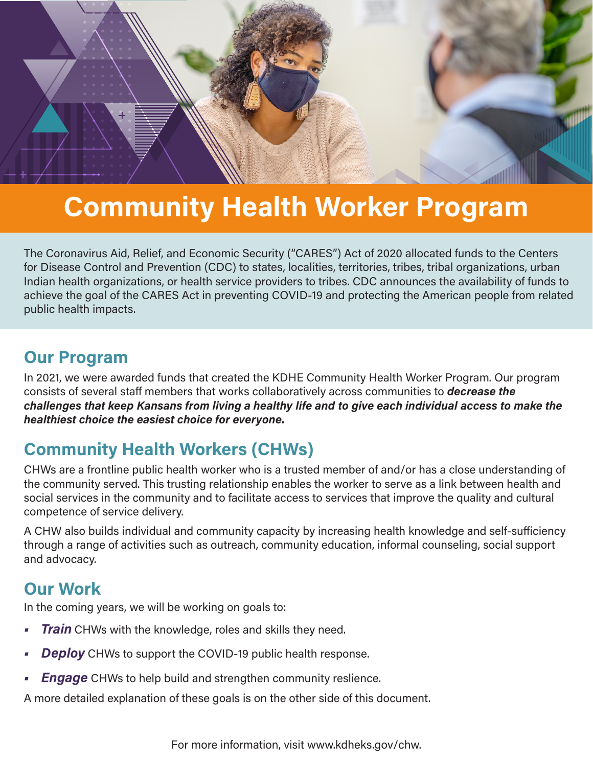

# Community Health Worker Program

The Coronavirus Aid, Relief, and Economic Security ("CARES") Act of 2020 allocated funds to the Centers for Disease Control and Prevention (CDC) to states, localities, territories, tribes, tribal organizations, urban Indian health organizations, or health service providers to tribes. CDC announces the availability of funds to achieve the goal of the CARES Act in preventing COVID-19 and protecting the American people from related public health impacts.

### Our Program

In 2021, we were awarded funds that created the KDHE Community Health Worker Program. Our program consists of several staff members that works collaboratively across communities to **decrease the** challenges that keep Kansans from living a healthy life and to give each individual access to make the healthiest choice the easiest choice for everyone.

## Community Health Workers (CHWs)

CHWs are a frontline public health worker who is a trusted member of and/or has a close understanding of the community served. This trusting relationship enables the worker to serve as a link between health and social services in the community and to facilitate access to services that improve the quality and cultural competence of service delivery.

A CHW also builds individual and community capacity by increasing health knowledge and self-sufficiency through a range of activities such as outreach, community education, informal counseling, social support and advocacy.

### Our Work

In the coming years, we will be working on goals to:

- **Train** CHWs with the knowledge, roles and skills they need.
- **Deploy** CHWs to support the COVID-19 public health response.
- **Engage** CHWs to help build and strengthen community reslience.

A more detailed explanation of these goals is on the other side of this document.

For more information, visit www.kdheks.gov/chw.